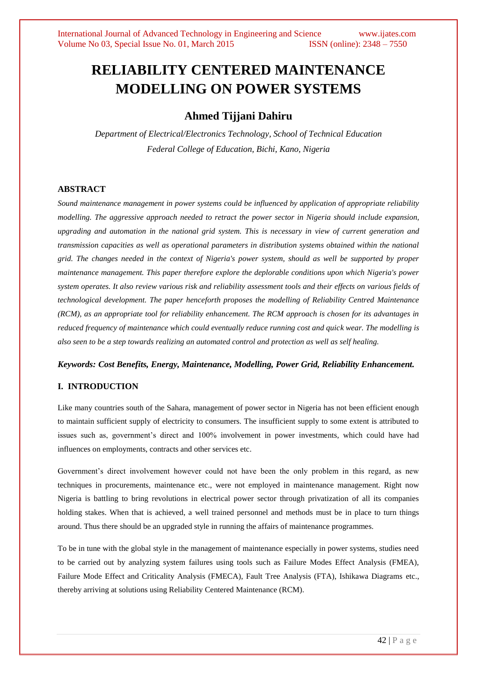# **RELIABILITY CENTERED MAINTENANCE MODELLING ON POWER SYSTEMS**

# **Ahmed Tijjani Dahiru**

*Department of Electrical/Electronics Technology, School of Technical Education Federal College of Education, Bichi, Kano, Nigeria*

# **ABSTRACT**

*Sound maintenance management in power systems could be influenced by application of appropriate reliability modelling. The aggressive approach needed to retract the power sector in Nigeria should include expansion, upgrading and automation in the national grid system. This is necessary in view of current generation and transmission capacities as well as operational parameters in distribution systems obtained within the national grid. The changes needed in the context of Nigeria's power system, should as well be supported by proper maintenance management. This paper therefore explore the deplorable conditions upon which Nigeria's power system operates. It also review various risk and reliability assessment tools and their effects on various fields of technological development. The paper henceforth proposes the modelling of Reliability Centred Maintenance (RCM), as an appropriate tool for reliability enhancement. The RCM approach is chosen for its advantages in reduced frequency of maintenance which could eventually reduce running cost and quick wear. The modelling is also seen to be a step towards realizing an automated control and protection as well as self healing.* 

# *Keywords: Cost Benefits, Energy, Maintenance, Modelling, Power Grid, Reliability Enhancement.*

# **I. INTRODUCTION**

Like many countries south of the Sahara, management of power sector in Nigeria has not been efficient enough to maintain sufficient supply of electricity to consumers. The insufficient supply to some extent is attributed to issues such as, government's direct and 100% involvement in power investments, which could have had influences on employments, contracts and other services etc.

Government's direct involvement however could not have been the only problem in this regard, as new techniques in procurements, maintenance etc., were not employed in maintenance management. Right now Nigeria is battling to bring revolutions in electrical power sector through privatization of all its companies holding stakes. When that is achieved, a well trained personnel and methods must be in place to turn things around. Thus there should be an upgraded style in running the affairs of maintenance programmes.

To be in tune with the global style in the management of maintenance especially in power systems, studies need to be carried out by analyzing system failures using tools such as Failure Modes Effect Analysis (FMEA), Failure Mode Effect and Criticality Analysis (FMECA), Fault Tree Analysis (FTA), Ishikawa Diagrams etc., thereby arriving at solutions using Reliability Centered Maintenance (RCM).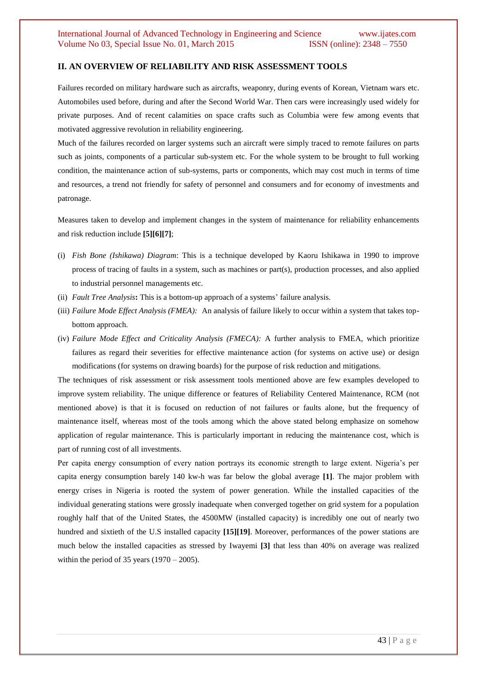#### **II. AN OVERVIEW OF RELIABILITY AND RISK ASSESSMENT TOOLS**

Failures recorded on military hardware such as aircrafts, weaponry, during events of Korean, Vietnam wars etc. Automobiles used before, during and after the Second World War. Then cars were increasingly used widely for private purposes. And of recent calamities on space crafts such as Columbia were few among events that motivated aggressive revolution in reliability engineering.

Much of the failures recorded on larger systems such an aircraft were simply traced to remote failures on parts such as joints, components of a particular sub-system etc. For the whole system to be brought to full working condition, the maintenance action of sub-systems, parts or components, which may cost much in terms of time and resources, a trend not friendly for safety of personnel and consumers and for economy of investments and patronage.

Measures taken to develop and implement changes in the system of maintenance for reliability enhancements and risk reduction include **[5][6][7]**;

- (i) *Fish Bone (Ishikawa) Diagram*: This is a technique developed by Kaoru Ishikawa in 1990 to improve process of tracing of faults in a system, such as machines or part(s), production processes, and also applied to industrial personnel managements etc.
- (ii) *Fault Tree Analysis***:** This is a bottom-up approach of a systems' failure analysis.
- (iii) *Failure Mode Effect Analysis (FMEA):* An analysis of failure likely to occur within a system that takes topbottom approach.
- (iv) *Failure Mode Effect and Criticality Analysis (FMECA):* A further analysis to FMEA, which prioritize failures as regard their severities for effective maintenance action (for systems on active use) or design modifications (for systems on drawing boards) for the purpose of risk reduction and mitigations.

The techniques of risk assessment or risk assessment tools mentioned above are few examples developed to improve system reliability. The unique difference or features of Reliability Centered Maintenance, RCM (not mentioned above) is that it is focused on reduction of not failures or faults alone, but the frequency of maintenance itself, whereas most of the tools among which the above stated belong emphasize on somehow application of regular maintenance. This is particularly important in reducing the maintenance cost, which is part of running cost of all investments.

Per capita energy consumption of every nation portrays its economic strength to large extent. Nigeria's per capita energy consumption barely 140 kw-h was far below the global average **[1]**. The major problem with energy crises in Nigeria is rooted the system of power generation. While the installed capacities of the individual generating stations were grossly inadequate when converged together on grid system for a population roughly half that of the United States, the 4500MW (installed capacity) is incredibly one out of nearly two hundred and sixtieth of the U.S installed capacity **[15][19]**. Moreover, performances of the power stations are much below the installed capacities as stressed by Iwayemi **[3]** that less than 40% on average was realized within the period of 35 years  $(1970 - 2005)$ .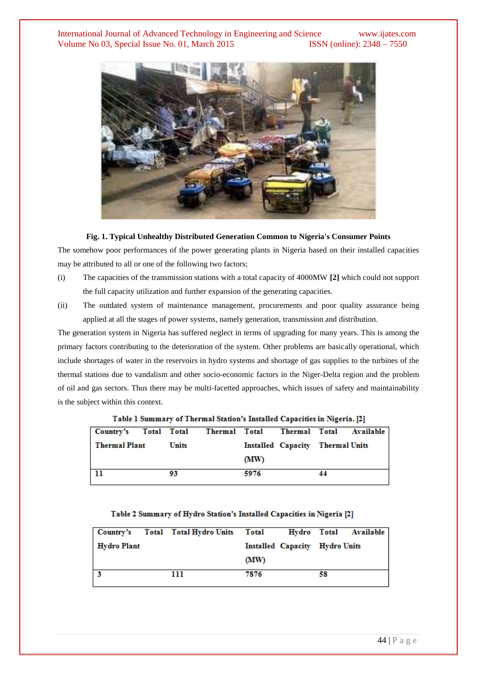

#### **Fig. 1. Typical Unhealthy Distributed Generation Common to Nigeria's Consumer Points**

The somehow poor performances of the power generating plants in Nigeria based on their installed capacities may be attributed to all or one of the following two factors;

- (i) The capacities of the transmission stations with a total capacity of 4000MW **[2]** which could not support the full capacity utilization and further expansion of the generating capacities.
- (ii) The outdated system of maintenance management, procurements and poor quality assurance being applied at all the stages of power systems, namely generation, transmission and distribution.

The generation system in Nigeria has suffered neglect in terms of upgrading for many years. This is among the primary factors contributing to the deterioration of the system. Other problems are basically operational, which include shortages of water in the reservoirs in hydro systems and shortage of gas supplies to the turbines of the thermal stations due to vandalism and other socio-economic factors in the Niger-Delta region and the problem of oil and gas sectors. Thus there may be multi-facetted approaches, which issues of safety and maintainability is the subject within this context.

| Table I building to the mai blaubh 3 molancu capacities in Fugerial [2] |  |              |  |      |  |                                  |  |  |  |  |  |
|-------------------------------------------------------------------------|--|--------------|--|------|--|----------------------------------|--|--|--|--|--|
| Country's Total Total Thermal Total Thermal Total Available             |  |              |  |      |  |                                  |  |  |  |  |  |
| Thermal Plant                                                           |  | <b>Units</b> |  |      |  | Installed Capacity Thermal Units |  |  |  |  |  |
|                                                                         |  |              |  | (MW) |  |                                  |  |  |  |  |  |
| 11                                                                      |  | 93           |  | 5976 |  |                                  |  |  |  |  |  |

Table 1 Summary of Thermal Station's Installed Capacities in Nigeria, [2]

#### Table 2 Summary of Hydro Station's Installed Capacities in Nigeria [2]

|             |  | Country's Total Total Hydro Units Total |      |                                | Hydro Total Available |  |
|-------------|--|-----------------------------------------|------|--------------------------------|-----------------------|--|
| Hydro Plant |  |                                         |      | Installed Capacity Hydro Units |                       |  |
|             |  |                                         | (MW) |                                |                       |  |
|             |  | ш                                       | 7876 | 58                             |                       |  |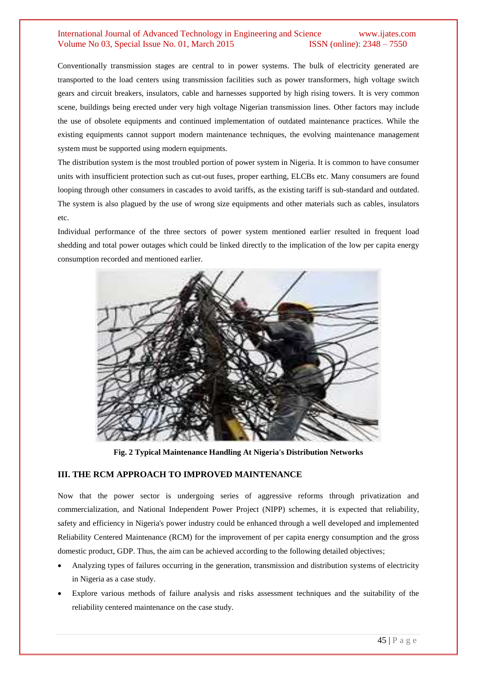# International Journal of Advanced Technology in Engineering and Science www.ijates.com Volume No 03, Special Issue No. 01, March 2015 ISSN (online): 2348 – 7550

Conventionally transmission stages are central to in power systems. The bulk of electricity generated are transported to the load centers using transmission facilities such as power transformers, high voltage switch gears and circuit breakers, insulators, cable and harnesses supported by high rising towers. It is very common scene, buildings being erected under very high voltage Nigerian transmission lines. Other factors may include the use of obsolete equipments and continued implementation of outdated maintenance practices. While the existing equipments cannot support modern maintenance techniques, the evolving maintenance management system must be supported using modern equipments.

The distribution system is the most troubled portion of power system in Nigeria. It is common to have consumer units with insufficient protection such as cut-out fuses, proper earthing, ELCBs etc. Many consumers are found looping through other consumers in cascades to avoid tariffs, as the existing tariff is sub-standard and outdated. The system is also plagued by the use of wrong size equipments and other materials such as cables, insulators etc.

Individual performance of the three sectors of power system mentioned earlier resulted in frequent load shedding and total power outages which could be linked directly to the implication of the low per capita energy consumption recorded and mentioned earlier.



**Fig. 2 Typical Maintenance Handling At Nigeria's Distribution Networks**

# **III. THE RCM APPROACH TO IMPROVED MAINTENANCE**

Now that the power sector is undergoing series of aggressive reforms through privatization and commercialization, and National Independent Power Project (NIPP) schemes, it is expected that reliability, safety and efficiency in Nigeria's power industry could be enhanced through a well developed and implemented Reliability Centered Maintenance (RCM) for the improvement of per capita energy consumption and the gross domestic product, GDP. Thus, the aim can be achieved according to the following detailed objectives;

- Analyzing types of failures occurring in the generation, transmission and distribution systems of electricity in Nigeria as a case study.
- Explore various methods of failure analysis and risks assessment techniques and the suitability of the reliability centered maintenance on the case study.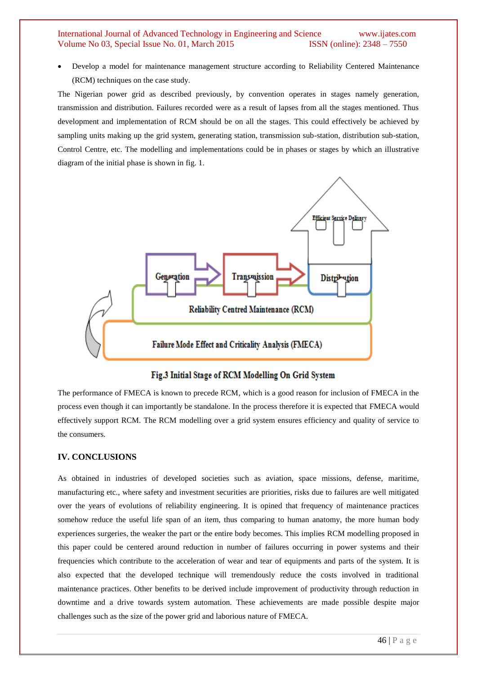#### International Journal of Advanced Technology in Engineering and Science www.ijates.com Volume No 03, Special Issue No. 01, March 2015 ISSN (online): 2348 – 7550

 Develop a model for maintenance management structure according to Reliability Centered Maintenance (RCM) techniques on the case study.

The Nigerian power grid as described previously, by convention operates in stages namely generation, transmission and distribution. Failures recorded were as a result of lapses from all the stages mentioned. Thus development and implementation of RCM should be on all the stages. This could effectively be achieved by sampling units making up the grid system, generating station, transmission sub-station, distribution sub-station, Control Centre, etc. The modelling and implementations could be in phases or stages by which an illustrative diagram of the initial phase is shown in fig. 1.



# Fig.3 Initial Stage of RCM Modelling On Grid System

The performance of FMECA is known to precede RCM, which is a good reason for inclusion of FMECA in the process even though it can importantly be standalone. In the process therefore it is expected that FMECA would effectively support RCM. The RCM modelling over a grid system ensures efficiency and quality of service to the consumers.

#### **IV. CONCLUSIONS**

As obtained in industries of developed societies such as aviation, space missions, defense, maritime, manufacturing etc., where safety and investment securities are priorities, risks due to failures are well mitigated over the years of evolutions of reliability engineering. It is opined that frequency of maintenance practices somehow reduce the useful life span of an item, thus comparing to human anatomy, the more human body experiences surgeries, the weaker the part or the entire body becomes. This implies RCM modelling proposed in this paper could be centered around reduction in number of failures occurring in power systems and their frequencies which contribute to the acceleration of wear and tear of equipments and parts of the system. It is also expected that the developed technique will tremendously reduce the costs involved in traditional maintenance practices. Other benefits to be derived include improvement of productivity through reduction in downtime and a drive towards system automation. These achievements are made possible despite major challenges such as the size of the power grid and laborious nature of FMECA.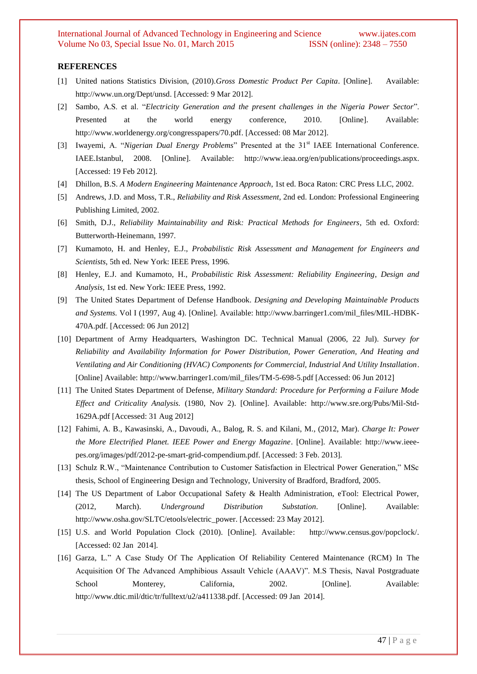#### **REFERENCES**

- [1] United nations Statistics Division, (2010).*Gross Domestic Product Per Capita*. [Online]. Available: [http://www.un.org/Dept/unsd.](http://www.un.org/Dept/unsd) [Accessed: 9 Mar 2012].
- [2] Sambo, A.S. et al. "*Electricity Generation and the present challenges in the Nigeria Power Sector*". Presented at the world energy conference, 2010. [Online]. Available: [http://www.worldenergy.org/congresspapers/70.pdf.](http://www.worldenergy.org/congresspapers/70.pdf) [Accessed: 08 Mar 2012].
- [3] Iwayemi, A. "*Nigerian Dual Energy Problems*" Presented at the 31<sup>st</sup> IAEE International Conference. IAEE.Istanbul, 2008. [Online]. Available: [http://www.ieaa.org/en/publications/proceedings.aspx.](http://www.ieaa.org/en/publications/proceedings.aspx) [Accessed: 19 Feb 2012].
- [4] Dhillon, B.S. *A Modern Engineering Maintenance Approach*, 1st ed. Boca Raton: CRC Press LLC, 2002.
- [5] Andrews, J.D. and Moss, T.R., *Reliability and Risk Assessment*, 2nd ed. London: Professional Engineering Publishing Limited, 2002.
- [6] Smith, D.J., *Reliability Maintainability and Risk: Practical Methods for Engineers*, 5th ed. Oxford: Butterworth-Heinemann, 1997.
- [7] Kumamoto, H. and Henley, E.J., *Probabilistic Risk Assessment and Management for Engineers and Scientists*, 5th ed. New York: IEEE Press, 1996.
- [8] Henley, E.J. and Kumamoto, H., *Probabilistic Risk Assessment: Reliability Engineering*, *Design and Analysis,* 1st ed. New York: IEEE Press, 1992.
- [9] The United States Department of Defense Handbook. *Designing and Developing Maintainable Products and Systems.* Vol I (1997, Aug 4). [Online]. Available: http://www.barringer1.com/mil\_files/MIL-HDBK-470A.pdf. [Accessed: 06 Jun 2012]
- [10] Department of Army Headquarters, Washington DC. Technical Manual (2006, 22 Jul). *Survey for Reliability and Availability Information for Power Distribution, Power Generation, And Heating and Ventilating and Air Conditioning (HVAC) Components for Commercial, Industrial And Utility Installation*. [Online] Available: http://www.barringer1.com/mil\_files/TM-5-698-5.pdf [Accessed: 06 Jun 2012]
- [11] The United States Department of Defense, *Military Standard: Procedure for Performing a Failure Mode Effect and Criticality Analysis.* (1980, Nov 2). [Online]. Available: http://www.sre.org/Pubs/Mil-Std-1629A.pdf [Accessed: 31 Aug 2012]
- [12] Fahimi, A. B., Kawasinski, A., Davoudi, A., Balog, R. S. and Kilani, M., (2012, Mar). *Charge It: Power the More Electrified Planet. IEEE Power and Energy Magazine*. [Online]. Available: http://www.ieeepes.org/images/pdf/2012-pe-smart-grid-compendium.pdf. [Accessed: 3 Feb. 2013].
- [13] Schulz R.W., "Maintenance Contribution to Customer Satisfaction in Electrical Power Generation," MSc thesis, School of Engineering Design and Technology, University of Bradford, Bradford, 2005.
- [14] The US Department of Labor Occupational Safety & Health Administration, eTool: Electrical Power, (2012, March). *Underground Distribution Substation*. [Online]. Available: http://www.osha.gov/SLTC/etools/electric\_power. [Accessed: 23 May 2012].
- [15] U.S. and World Population Clock (2010). [Online]. Available: [http://www.census.gov/popclock/.](http://www.census.gov/popclock/) [Accessed: 02 Jan 2014].
- [16] Garza, L." A Case Study Of The Application Of Reliability Centered Maintenance (RCM) In The Acquisition Of The Advanced Amphibious Assault Vehicle (AAAV)". M.S Thesis, Naval Postgraduate School Monterey, California, 2002. [Online]. Available: [http://www.dtic.mil/dtic/tr/fulltext/u2/a411338.pdf.](http://www.dtic.mil/dtic/tr/fulltext/u2/a411338.pdf) [Accessed: 09 Jan 2014].